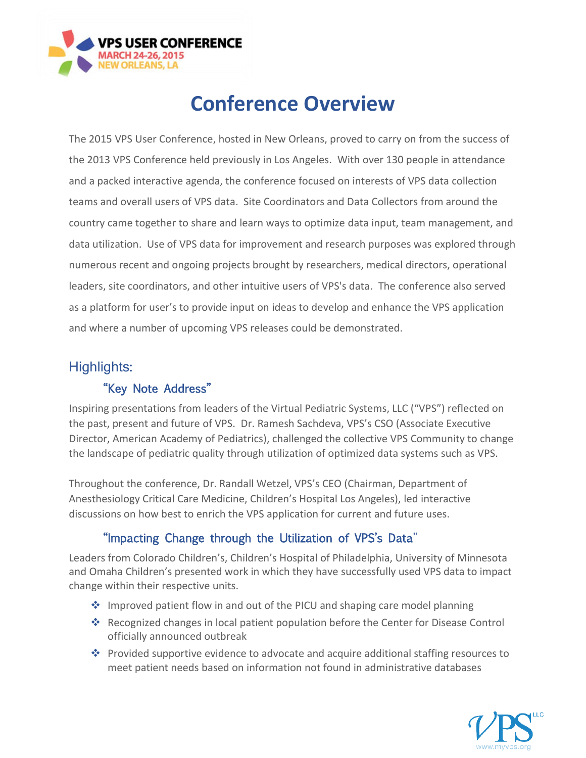

# **Conference Overview**

The 2015 VPS User Conference, hosted in New Orleans, proved to carry on from the success of the 2013 VPS Conference held previously in Los Angeles. With over 130 people in attendance and a packed interactive agenda, the conference focused on interests of VPS data collection teams and overall users of VPS data. Site Coordinators and Data Collectors from around the country came together to share and learn ways to optimize data input, team management, and data utilization. Use of VPS data for improvement and research purposes was explored through numerous recent and ongoing projects brought by researchers, medical directors, operational leaders, site coordinators, and other intuitive users of VPS's data. The conference also served as a platform for user's to provide input on ideas to develop and enhance the VPS application and where a number of upcoming VPS releases could be demonstrated.

## Highlights:

## "Key Note Address"

Inspiring presentations from leaders of the Virtual Pediatric Systems, LLC ("VPS") reflected on the past, present and future of VPS. Dr. Ramesh Sachdeva, VPS's CSO (Associate Executive Director, American Academy of Pediatrics), challenged the collective VPS Community to change the landscape of pediatric quality through utilization of optimized data systems such as VPS.

Throughout the conference, Dr. Randall Wetzel, VPS's CEO (Chairman, Department of Anesthesiology Critical Care Medicine, Children's Hospital Los Angeles), led interactive discussions on how best to enrich the VPS application for current and future uses.

## "Impacting Change through the Utilization of VPS's Data"

Leaders from Colorado Children's, Children's Hospital of Philadelphia, University of Minnesota and Omaha Children's presented work in which they have successfully used VPS data to impact change within their respective units.

- ❖ Improved patient flow in and out of the PICU and shaping care model planning
- ❖ Recognized changes in local patient population before the Center for Disease Control officially announced outbreak
- ❖ Provided supportive evidence to advocate and acquire additional staffing resources to meet patient needs based on information not found in administrative databases

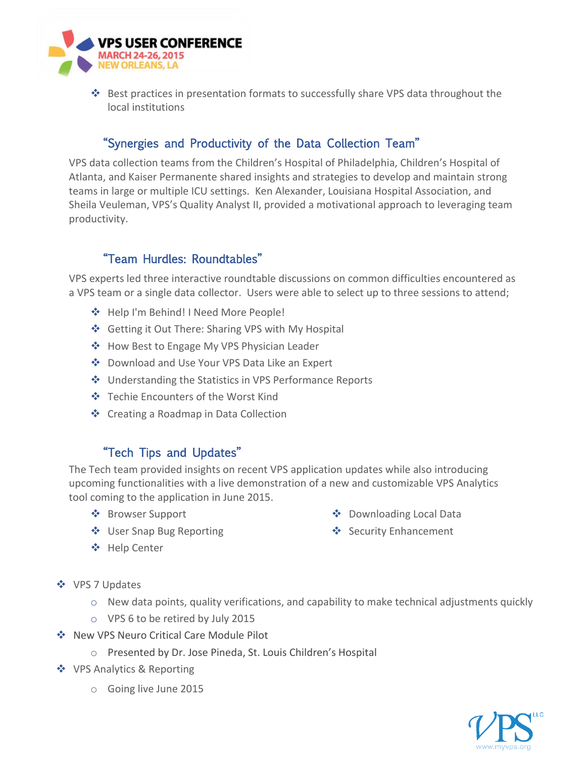

❖ Best practices in presentation formats to successfully share VPS data throughout the local institutions

#### "Synergies and Productivity of the Data Collection Team"

VPS data collection teams from the Children's Hospital of Philadelphia, Children's Hospital of Atlanta, and Kaiser Permanente shared insights and strategies to develop and maintain strong teams in large or multiple ICU settings. Ken Alexander, Louisiana Hospital Association, and Sheila Veuleman, VPS's Quality Analyst II, provided a motivational approach to leveraging team productivity.

#### "Team Hurdles: Roundtables"

VPS experts led three interactive roundtable discussions on common difficulties encountered as a VPS team or a single data collector. Users were able to select up to three sessions to attend;

- ❖ Help I'm Behind! I Need More People!
- ❖ Getting it Out There: Sharing VPS with My Hospital
- ❖ How Best to Engage My VPS Physician Leader
- ❖ Download and Use Your VPS Data Like an Expert
- ❖ Understanding the Statistics in VPS Performance Reports
- ❖ Techie Encounters of the Worst Kind
- ❖ Creating a Roadmap in Data Collection

#### "Tech Tips and Updates"

The Tech team provided insights on recent VPS application updates while also introducing upcoming functionalities with a live demonstration of a new and customizable VPS Analytics tool coming to the application in June 2015.

❖ Browser Support

❖ Downloading Local Data

- ❖ User Snap Bug Reporting
- ❖ Help Center

❖ Security Enhancement

- ❖ VPS 7 Updates
	- $\circ$  New data points, quality verifications, and capability to make technical adjustments quickly
	- o VPS 6 to be retired by July 2015
- ❖ New VPS Neuro Critical Care Module Pilot
	- o Presented by Dr. Jose Pineda, St. Louis Children's Hospital
- ❖ VPS Analytics & Reporting
	- o Going live June 2015

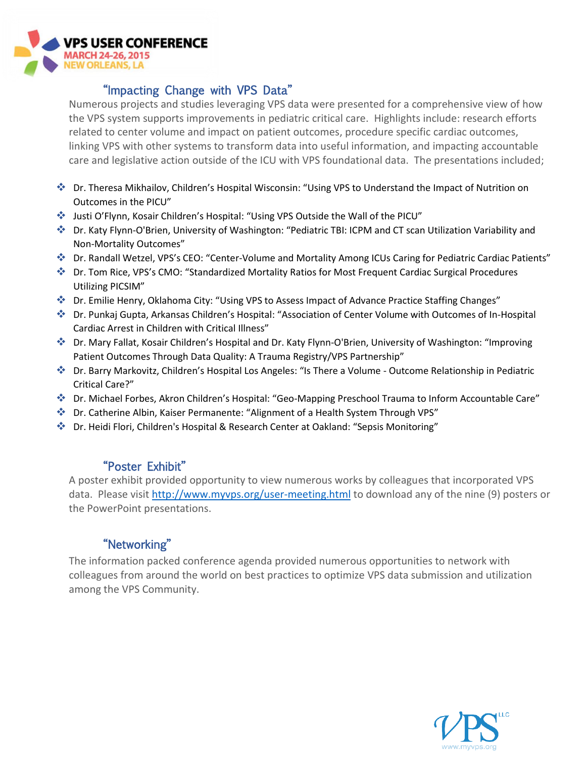

## "Impacting Change with VPS Data"

Numerous projects and studies leveraging VPS data were presented for a comprehensive view of how the VPS system supports improvements in pediatric critical care. Highlights include: research efforts related to center volume and impact on patient outcomes, procedure specific cardiac outcomes, linking VPS with other systems to transform data into useful information, and impacting accountable care and legislative action outside of the ICU with VPS foundational data. The presentations included;

- ❖ Dr. Theresa Mikhailov, Children's Hospital Wisconsin: "Using VPS to Understand the Impact of Nutrition on Outcomes in the PICU"
- ❖ Justi O'Flynn, Kosair Children's Hospital: "Using VPS Outside the Wall of the PICU"
- ❖ Dr. Katy Flynn-O'Brien, University of Washington: "Pediatric TBI: ICPM and CT scan Utilization Variability and Non-Mortality Outcomes"
- ❖ Dr. Randall Wetzel, VPS's CEO: "Center-Volume and Mortality Among ICUs Caring for Pediatric Cardiac Patients"
- ❖ Dr. Tom Rice, VPS's CMO: "Standardized Mortality Ratios for Most Frequent Cardiac Surgical Procedures Utilizing PICSIM"
- ❖ Dr. Emilie Henry, Oklahoma City: "Using VPS to Assess Impact of Advance Practice Staffing Changes"
- ❖ Dr. Punkaj Gupta, Arkansas Children's Hospital: "Association of Center Volume with Outcomes of In-Hospital Cardiac Arrest in Children with Critical Illness"
- ❖ Dr. Mary Fallat, Kosair Children's Hospital and Dr. Katy Flynn-O'Brien, University of Washington: "Improving Patient Outcomes Through Data Quality: A Trauma Registry/VPS Partnership"
- ❖ Dr. Barry Markovitz, Children's Hospital Los Angeles: "Is There a Volume Outcome Relationship in Pediatric Critical Care?"
- ❖ Dr. Michael Forbes, Akron Children's Hospital: "Geo-Mapping Preschool Trauma to Inform Accountable Care"
- ❖ Dr. Catherine Albin, Kaiser Permanente: "Alignment of a Health System Through VPS"
- ❖ Dr. Heidi Flori, Children's Hospital & Research Center at Oakland: "Sepsis Monitoring"

#### "Poster Exhibit"

A poster exhibit provided opportunity to view numerous works by colleagues that incorporated VPS data. Please visi[t http://www.myvps.org/user-meeting.html](http://www.myvps.org/user-meeting.html) to download any of the nine (9) posters or the PowerPoint presentations.

#### "Networking"

The information packed conference agenda provided numerous opportunities to network with colleagues from around the world on best practices to optimize VPS data submission and utilization among the VPS Community.

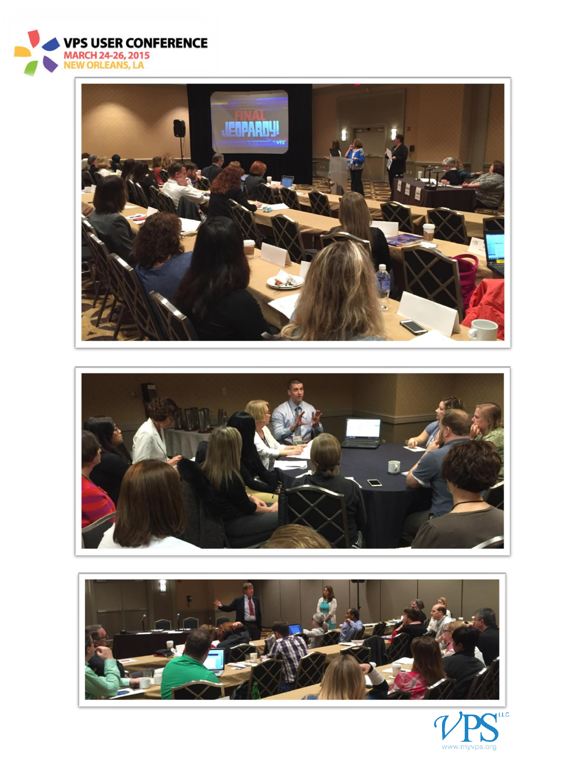